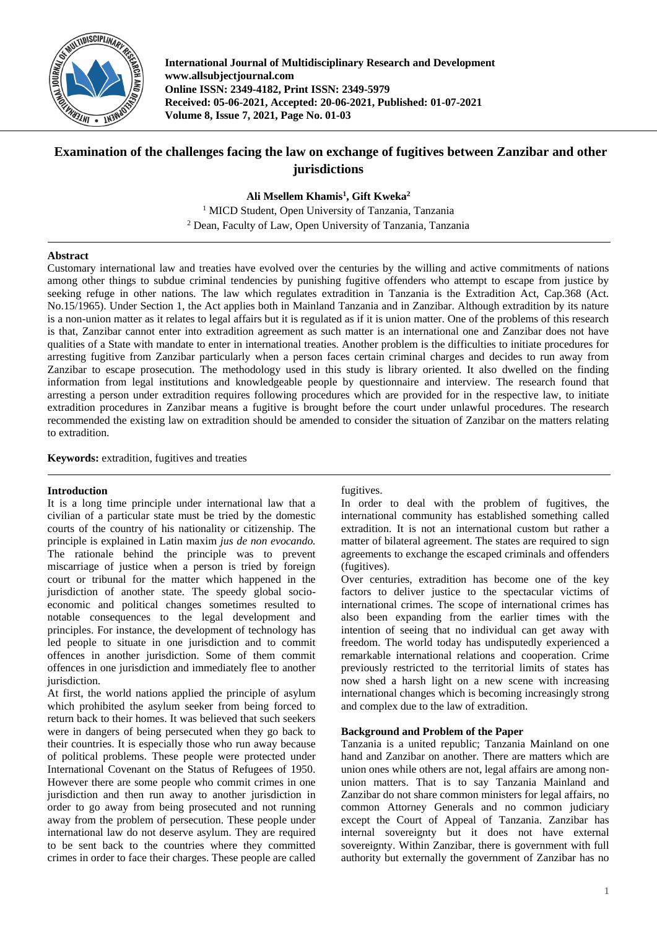

**International Journal of Multidisciplinary Research and Development www.allsubjectjournal.com Online ISSN: 2349-4182, Print ISSN: 2349-5979 Received: 05-06-2021, Accepted: 20-06-2021, Published: 01-07-2021 Volume 8, Issue 7, 2021, Page No. 01-03**

# **Examination of the challenges facing the law on exchange of fugitives between Zanzibar and other jurisdictions**

**Ali Msellem Khamis<sup>1</sup> , Gift Kweka<sup>2</sup>**

<sup>1</sup> MICD Student, Open University of Tanzania, Tanzania <sup>2</sup> Dean, Faculty of Law, Open University of Tanzania, Tanzania

## **Abstract**

Customary international law and treaties have evolved over the centuries by the willing and active commitments of nations among other things to subdue criminal tendencies by punishing fugitive offenders who attempt to escape from justice by seeking refuge in other nations. The law which regulates extradition in Tanzania is the Extradition Act, Cap.368 (Act. No.15/1965). Under Section 1, the Act applies both in Mainland Tanzania and in Zanzibar. Although extradition by its nature is a non-union matter as it relates to legal affairs but it is regulated as if it is union matter. One of the problems of this research is that, Zanzibar cannot enter into extradition agreement as such matter is an international one and Zanzibar does not have qualities of a State with mandate to enter in international treaties. Another problem is the difficulties to initiate procedures for arresting fugitive from Zanzibar particularly when a person faces certain criminal charges and decides to run away from Zanzibar to escape prosecution. The methodology used in this study is library oriented. It also dwelled on the finding information from legal institutions and knowledgeable people by questionnaire and interview. The research found that arresting a person under extradition requires following procedures which are provided for in the respective law, to initiate extradition procedures in Zanzibar means a fugitive is brought before the court under unlawful procedures. The research recommended the existing law on extradition should be amended to consider the situation of Zanzibar on the matters relating to extradition.

**Keywords:** extradition, fugitives and treaties

### **Introduction**

It is a long time principle under international law that a civilian of a particular state must be tried by the domestic courts of the country of his nationality or citizenship. The principle is explained in Latin maxim *jus de non evocando.* The rationale behind the principle was to prevent miscarriage of justice when a person is tried by foreign court or tribunal for the matter which happened in the jurisdiction of another state. The speedy global socioeconomic and political changes sometimes resulted to notable consequences to the legal development and principles. For instance, the development of technology has led people to situate in one jurisdiction and to commit offences in another jurisdiction. Some of them commit offences in one jurisdiction and immediately flee to another jurisdiction.

At first, the world nations applied the principle of asylum which prohibited the asylum seeker from being forced to return back to their homes. It was believed that such seekers were in dangers of being persecuted when they go back to their countries. It is especially those who run away because of political problems. These people were protected under International Covenant on the Status of Refugees of 1950. However there are some people who commit crimes in one jurisdiction and then run away to another jurisdiction in order to go away from being prosecuted and not running away from the problem of persecution. These people under international law do not deserve asylum. They are required to be sent back to the countries where they committed crimes in order to face their charges. These people are called

### fugitives.

In order to deal with the problem of fugitives, the international community has established something called extradition. It is not an international custom but rather a matter of bilateral agreement. The states are required to sign agreements to exchange the escaped criminals and offenders (fugitives).

Over centuries, extradition has become one of the key factors to deliver justice to the spectacular victims of international crimes. The scope of international crimes has also been expanding from the earlier times with the intention of seeing that no individual can get away with freedom. The world today has undisputedly experienced a remarkable international relations and cooperation. Crime previously restricted to the territorial limits of states has now shed a harsh light on a new scene with increasing international changes which is becoming increasingly strong and complex due to the law of extradition.

### **Background and Problem of the Paper**

Tanzania is a united republic; Tanzania Mainland on one hand and Zanzibar on another. There are matters which are union ones while others are not, legal affairs are among nonunion matters. That is to say Tanzania Mainland and Zanzibar do not share common ministers for legal affairs, no common Attorney Generals and no common judiciary except the Court of Appeal of Tanzania. Zanzibar has internal sovereignty but it does not have external sovereignty. Within Zanzibar, there is government with full authority but externally the government of Zanzibar has no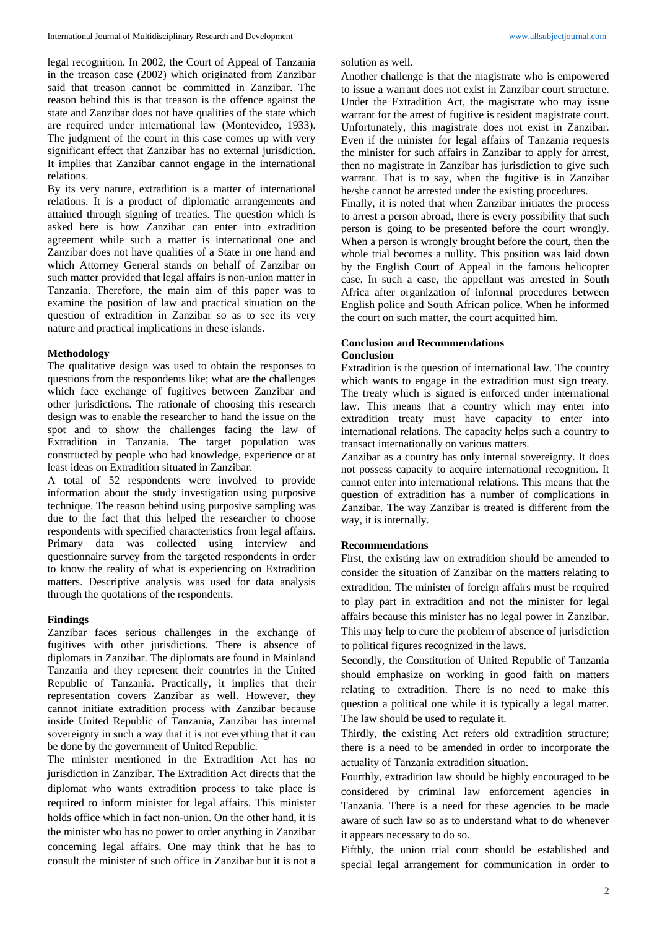legal recognition. In 2002, the Court of Appeal of Tanzania in the treason case (2002) which originated from Zanzibar said that treason cannot be committed in Zanzibar. The reason behind this is that treason is the offence against the state and Zanzibar does not have qualities of the state which are required under international law (Montevideo, 1933). The judgment of the court in this case comes up with very significant effect that Zanzibar has no external jurisdiction. It implies that Zanzibar cannot engage in the international relations.

By its very nature, extradition is a matter of international relations. It is a product of diplomatic arrangements and attained through signing of treaties. The question which is asked here is how Zanzibar can enter into extradition agreement while such a matter is international one and Zanzibar does not have qualities of a State in one hand and which Attorney General stands on behalf of Zanzibar on such matter provided that legal affairs is non-union matter in Tanzania. Therefore, the main aim of this paper was to examine the position of law and practical situation on the question of extradition in Zanzibar so as to see its very nature and practical implications in these islands.

## **Methodology**

The qualitative design was used to obtain the responses to questions from the respondents like; what are the challenges which face exchange of fugitives between Zanzibar and other jurisdictions. The rationale of choosing this research design was to enable the researcher to hand the issue on the spot and to show the challenges facing the law of Extradition in Tanzania. The target population was constructed by people who had knowledge, experience or at least ideas on Extradition situated in Zanzibar.

A total of 52 respondents were involved to provide information about the study investigation using purposive technique. The reason behind using purposive sampling was due to the fact that this helped the researcher to choose respondents with specified characteristics from legal affairs. Primary data was collected using interview and questionnaire survey from the targeted respondents in order to know the reality of what is experiencing on Extradition matters. Descriptive analysis was used for data analysis through the quotations of the respondents.

## **Findings**

Zanzibar faces serious challenges in the exchange of fugitives with other jurisdictions. There is absence of diplomats in Zanzibar. The diplomats are found in Mainland Tanzania and they represent their countries in the United Republic of Tanzania. Practically, it implies that their representation covers Zanzibar as well. However, they cannot initiate extradition process with Zanzibar because inside United Republic of Tanzania, Zanzibar has internal sovereignty in such a way that it is not everything that it can be done by the government of United Republic.

The minister mentioned in the Extradition Act has no jurisdiction in Zanzibar. The Extradition Act directs that the diplomat who wants extradition process to take place is required to inform minister for legal affairs. This minister holds office which in fact non-union. On the other hand, it is the minister who has no power to order anything in Zanzibar concerning legal affairs. One may think that he has to consult the minister of such office in Zanzibar but it is not a

solution as well.

Another challenge is that the magistrate who is empowered to issue a warrant does not exist in Zanzibar court structure. Under the Extradition Act, the magistrate who may issue warrant for the arrest of fugitive is resident magistrate court. Unfortunately, this magistrate does not exist in Zanzibar. Even if the minister for legal affairs of Tanzania requests the minister for such affairs in Zanzibar to apply for arrest, then no magistrate in Zanzibar has jurisdiction to give such warrant. That is to say, when the fugitive is in Zanzibar he/she cannot be arrested under the existing procedures.

Finally, it is noted that when Zanzibar initiates the process to arrest a person abroad, there is every possibility that such person is going to be presented before the court wrongly. When a person is wrongly brought before the court, then the whole trial becomes a nullity. This position was laid down by the English Court of Appeal in the famous helicopter case. In such a case, the appellant was arrested in South Africa after organization of informal procedures between English police and South African police. When he informed the court on such matter, the court acquitted him.

#### **Conclusion and Recommendations Conclusion**

Extradition is the question of international law. The country which wants to engage in the extradition must sign treaty. The treaty which is signed is enforced under international law. This means that a country which may enter into extradition treaty must have capacity to enter into international relations. The capacity helps such a country to transact internationally on various matters.

Zanzibar as a country has only internal sovereignty. It does not possess capacity to acquire international recognition. It cannot enter into international relations. This means that the question of extradition has a number of complications in Zanzibar. The way Zanzibar is treated is different from the way, it is internally.

### **Recommendations**

First, the existing law on extradition should be amended to consider the situation of Zanzibar on the matters relating to extradition. The minister of foreign affairs must be required to play part in extradition and not the minister for legal affairs because this minister has no legal power in Zanzibar. This may help to cure the problem of absence of jurisdiction to political figures recognized in the laws.

Secondly, the Constitution of United Republic of Tanzania should emphasize on working in good faith on matters relating to extradition. There is no need to make this question a political one while it is typically a legal matter. The law should be used to regulate it.

Thirdly, the existing Act refers old extradition structure; there is a need to be amended in order to incorporate the actuality of Tanzania extradition situation.

Fourthly, extradition law should be highly encouraged to be considered by criminal law enforcement agencies in Tanzania. There is a need for these agencies to be made aware of such law so as to understand what to do whenever it appears necessary to do so.

Fifthly, the union trial court should be established and special legal arrangement for communication in order to